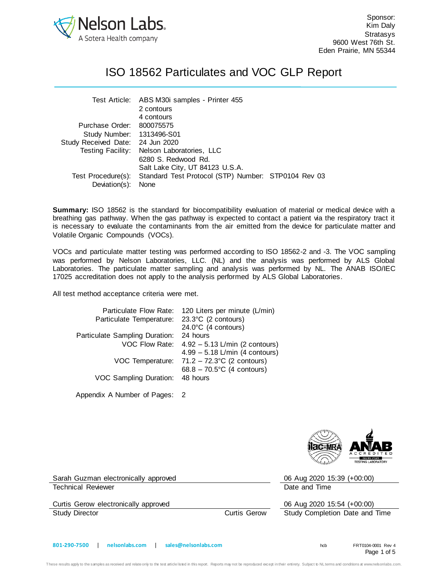

### ISO 18562 Particulates and VOC GLP Report

|                                  | Test Article: ABS M30i samples - Printer 455        |  |
|----------------------------------|-----------------------------------------------------|--|
|                                  | 2 contours                                          |  |
|                                  | 4 contours                                          |  |
| Purchase Order: 800075575        |                                                     |  |
| Study Number: 1313496-S01        |                                                     |  |
| Study Received Date: 24 Jun 2020 |                                                     |  |
|                                  | Testing Facility: Nelson Laboratories, LLC          |  |
|                                  | 6280 S. Redwood Rd.                                 |  |
|                                  | Salt Lake City, UT 84123 U.S.A.                     |  |
| Test Procedure(s):               | Standard Test Protocol (STP) Number: STP0104 Rev 03 |  |
| Deviation(s):                    | None                                                |  |

**Summary:** ISO 18562 is the standard for biocompatibility evaluation of material or medical device with a breathing gas pathway. When the gas pathway is expected to contact a patient via the respiratory tract it is necessary to evaluate the contaminants from the air emitted from the device for particulate matter and Volatile Organic Compounds (VOCs).

VOCs and particulate matter testing was performed according to ISO 18562-2 and -3. The VOC sampling was performed by Nelson Laboratories, LLC. (NL) and the analysis was performed by ALS Global Laboratories. The particulate matter sampling and analysis was performed by NL. The ANAB ISO/IEC 17025 accreditation does not apply to the analysis performed by ALS Global Laboratories.

All test method acceptance criteria were met.

| Particulate Flow Rate:         | 120 Liters per minute (L/min)        |
|--------------------------------|--------------------------------------|
| Particulate Temperature:       | 23.3°C (2 contours)                  |
|                                | 24.0°C (4 contours)                  |
| Particulate Sampling Duration: | 24 hours                             |
| VOC Flow Rate:                 | $4.92 - 5.13$ L/min (2 contours)     |
|                                | $4.99 - 5.18$ L/min (4 contours)     |
| VOC Temperature:               | $71.2 - 72.3$ °C (2 contours)        |
|                                | $68.8 - 70.5^{\circ}$ C (4 contours) |
| <b>VOC Sampling Duration:</b>  | 48 hours                             |
|                                |                                      |

Appendix A Number of Pages: 2



Sarah Guzman electronically approved 06 Aug 2020 15:39 (+00:00) Technical Reviewer **The Contract of Time** Date and Time

Curtis Gerow electronically approved 06 Aug 2020 15:54 (+00:00)

Study Director **Curtis Gerow** Study Completion Date and Time

Page 1 of 5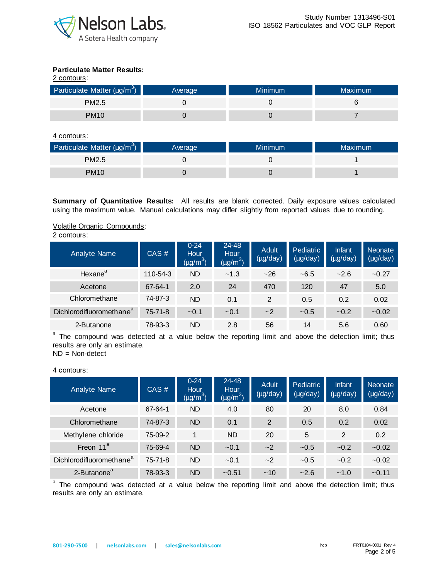

#### **Particulate Matter Results:**

| 2 contours:                             |         |                |         |
|-----------------------------------------|---------|----------------|---------|
| Particulate Matter (µg/m <sup>3</sup> ) | Average | <b>Minimum</b> | Maximum |
| PM2.5                                   |         |                |         |
| <b>PM10</b>                             |         |                |         |

4 contours:

| Particulate Matter ( $\mu$ g/m <sup>3</sup> ) | Average | <b>Minimum</b> | Maximum <sup>'</sup> |
|-----------------------------------------------|---------|----------------|----------------------|
| PM2.5                                         |         |                |                      |
| <b>PM10</b>                                   |         |                |                      |

**Summary of Quantitative Results:** All results are blank corrected. Daily exposure values calculated using the maximum value. Manual calculations may differ slightly from reported values due to rounding.

Volatile Organic Compounds:

2 contours:

| <b>Analyte Name</b>                  | $CAS \#$      | $0 - 24$<br>Hour<br>$(\mu g/m^3)$ | 24-48<br>Hour<br>$(\mu g/m^3)$ | Adult<br>$(\mu g / day)$ | <b>Pediatric</b><br>$(\mu g / day)$ | <b>Infant</b><br>$(\mu g / day)$ | <b>Neonate</b><br>$(\mu g / day)$ |
|--------------------------------------|---------------|-----------------------------------|--------------------------------|--------------------------|-------------------------------------|----------------------------------|-----------------------------------|
| Hexane <sup>a</sup>                  | 110-54-3      | <b>ND</b>                         | ~1.3                           | ~26                      | ~16.5                               | $-2.6$                           | $-0.27$                           |
| Acetone                              | 67-64-1       | 2.0                               | 24                             | 470                      | 120                                 | 47                               | 5.0                               |
| Chloromethane                        | 74-87-3       | <b>ND</b>                         | 0.1                            | 2                        | 0.5                                 | 0.2                              | 0.02                              |
| Dichlorodifluoromethane <sup>"</sup> | $75 - 71 - 8$ | ~1                                | $-0.1$                         | ~2                       | ~10.5                               | $-0.2$                           | $-0.02$                           |
| 2-Butanone                           | 78-93-3       | <b>ND</b>                         | 2.8                            | 56                       | 14                                  | 5.6                              | 0.60                              |

<sup>a</sup> The compound was detected at a value below the reporting limit and above the detection limit; thus results are only an estimate.

ND = Non-detect

4 contours:

| <b>Analyte Name</b>                  | CAS#          | $0 - 24$<br><b>Hour</b><br>$(\mu g/m^3)$ | 24-48<br><b>Hour</b><br>$(\mu g/m^3)$ | <b>Adult</b><br>$(\mu g / day)$ | Pediatric<br>$(\mu g / day)$ | <b>Infant</b><br>$(\mu g / day)$ | <b>Neonate</b><br>$(\mu g / day)$ |
|--------------------------------------|---------------|------------------------------------------|---------------------------------------|---------------------------------|------------------------------|----------------------------------|-----------------------------------|
| Acetone                              | 67-64-1       | <b>ND</b>                                | 4.0                                   | 80                              | 20                           | 8.0                              | 0.84                              |
| Chloromethane                        | 74-87-3       | <b>ND</b>                                | 0.1                                   | $\overline{2}$                  | 0.5                          | 0.2                              | 0.02                              |
| Methylene chloride                   | 75-09-2       | 1                                        | <b>ND</b>                             | 20                              | 5                            | 2                                | 0.2                               |
| Freon 11 <sup>a</sup>                | 75-69-4       | <b>ND</b>                                | $-0.1$                                | $\sim$ 2                        | $-0.5$                       | $-0.2$                           | $-0.02$                           |
| Dichlorodifluoromethane <sup>"</sup> | $75 - 71 - 8$ | <b>ND</b>                                | $-0.1$                                | $-2$                            | $-0.5$                       | $-0.2$                           | $-0.02$                           |
| 2-Butanone <sup>a</sup>              | 78-93-3       | <b>ND</b>                                | $~1$ -0.51                            | ~10                             | ~2.6                         | ~1.0                             | $-0.11$                           |

<sup>a</sup> The compound was detected at a value below the reporting limit and above the detection limit; thus results are only an estimate.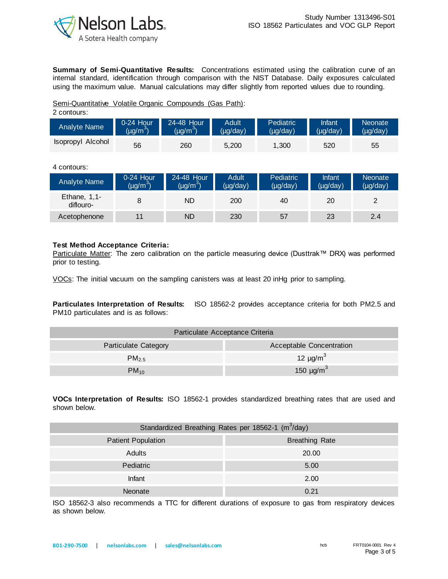

**Summary of Semi-Quantitative Results:** Concentrations estimated using the calibration curve of an internal standard, identification through comparison with the NIST Database. Daily exposures calculated using the maximum value. Manual calculations may differ slightly from reported values due to rounding.

Semi-Quantitative Volatile Organic Compounds (Gas Path):

| 2 contours:       |                      |                                    |                   |                       |                           |                                   |
|-------------------|----------------------|------------------------------------|-------------------|-----------------------|---------------------------|-----------------------------------|
| Analyte Name      | 0-24 Hour<br>(ua/mຶ) | 24-48 Hour<br>(ua/m <sup>o</sup> ) | Adult<br>(µg/day) | Pediatric<br>(µg/day) | Infant<br>$(\mu g / day)$ | <b>Neonate</b><br>$(\mu g / day)$ |
| ∐sopropyl Alcohol | 56                   | 260                                | 5,200             | 1,300                 | 520                       | 55                                |

4 contours:

| <b>Analyte Name</b>       | $0-24$ Hour<br>(µg/m $^3)$ | 24-48 Hour<br>(µg/m $^{\circ})$ | Adult<br>(µg/day) | Pediatric<br>(µg/day) | <b>Infant</b><br>(µg/day) | <b>Neonate</b><br>$(\mu g / day)$ |
|---------------------------|----------------------------|---------------------------------|-------------------|-----------------------|---------------------------|-----------------------------------|
| Ethane, 1,1-<br>diflouro- |                            | ND                              | 200               | 40                    | 20                        |                                   |
| Acetophenone              |                            | <b>ND</b>                       | 230               | 57                    | 23                        | 2.4                               |

#### **Test Method Acceptance Criteria:**

Particulate Matter: The zero calibration on the particle measuring device (Dusttrak™ DRX) was performed prior to testing.

VOCs: The initial vacuum on the sampling canisters was at least 20 inHg prior to sampling.

**Particulates Interpretation of Results:** ISO 18562-2 provides acceptance criteria for both PM2.5 and PM10 particulates and is as follows:

| Particulate Acceptance Criteria                         |                            |  |  |
|---------------------------------------------------------|----------------------------|--|--|
| Acceptable Concentration<br><b>Particulate Category</b> |                            |  |  |
| $PM_{2.5}$                                              | 12 $\mu$ g/m <sup>3</sup>  |  |  |
| $PM_{10}$                                               | 150 $\mu$ g/m <sup>3</sup> |  |  |

**VOCs Interpretation of Results:** ISO 18562-1 provides standardized breathing rates that are used and shown below.

| Standardized Breathing Rates per 18562-1 (m <sup>3</sup> /day) |                       |  |  |
|----------------------------------------------------------------|-----------------------|--|--|
| <b>Patient Population</b>                                      | <b>Breathing Rate</b> |  |  |
| <b>Adults</b>                                                  | 20.00                 |  |  |
| Pediatric                                                      | 5.00                  |  |  |
| Infant                                                         | 2.00                  |  |  |
| <b>Neonate</b>                                                 | 0.21                  |  |  |

ISO 18562-3 also recommends a TTC for different durations of exposure to gas from respiratory devices as shown below.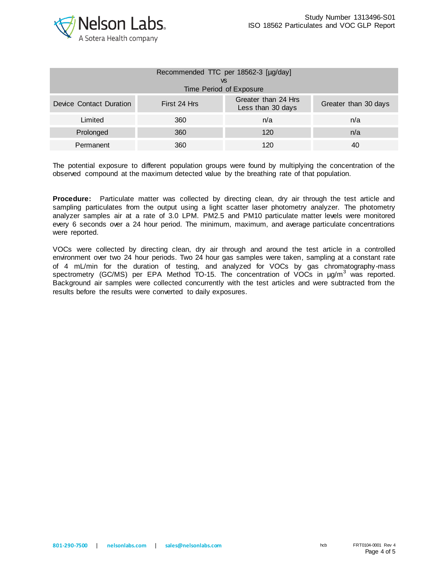

| Recommended TTC per 18562-3 [µg/day]                                                                        |                         |     |     |  |
|-------------------------------------------------------------------------------------------------------------|-------------------------|-----|-----|--|
|                                                                                                             |                         | VS  |     |  |
|                                                                                                             | Time Period of Exposure |     |     |  |
| Greater than 24 Hrs<br>Device Contact Duration<br>First 24 Hrs<br>Greater than 30 days<br>Less than 30 days |                         |     |     |  |
| Limited                                                                                                     | 360                     | n/a | n/a |  |
| Prolonged                                                                                                   | 360                     | 120 | n/a |  |
| Permanent                                                                                                   | 360                     | 120 | 40  |  |

The potential exposure to different population groups were found by multiplying the concentration of the observed compound at the maximum detected value by the breathing rate of that population.

**Procedure:** Particulate matter was collected by directing clean, dry air through the test article and sampling particulates from the output using a light scatter laser photometry analyzer. The photometry analyzer samples air at a rate of 3.0 LPM. PM2.5 and PM10 particulate matter levels were monitored every 6 seconds over a 24 hour period. The minimum, maximum, and average particulate concentrations were reported.

VOCs were collected by directing clean, dry air through and around the test article in a controlled environment over two 24 hour periods. Two 24 hour gas samples were taken, sampling at a constant rate of 4 mL/min for the duration of testing, and analyzed for VOCs by gas chromatography-mass spectrometry (GC/MS) per EPA Method TO-15. The concentration of VOCs in  $\mu$ g/m<sup>3</sup> was reported. Background air samples were collected concurrently with the test articles and were subtracted from the results before the results were converted to daily exposures.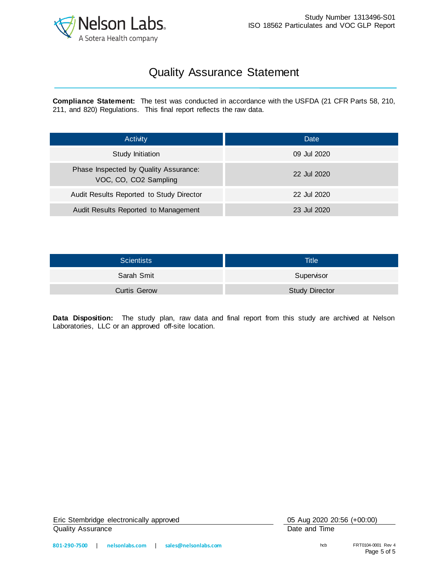

## Quality Assurance Statement

**Compliance Statement:** The test was conducted in accordance with the USFDA (21 CFR Parts 58, 210, 211, and 820) Regulations. This final report reflects the raw data.

| Activity                                                       | Date        |
|----------------------------------------------------------------|-------------|
| Study Initiation                                               | 09 Jul 2020 |
| Phase Inspected by Quality Assurance:<br>VOC, CO, CO2 Sampling | 22 Jul 2020 |
| Audit Results Reported to Study Director                       | 22 Jul 2020 |
| Audit Results Reported to Management                           | 23 Jul 2020 |

| <b>Scientists</b>   | Title                 |
|---------------------|-----------------------|
| Sarah Smit          | Supervisor            |
| <b>Curtis Gerow</b> | <b>Study Director</b> |

**Data Disposition:** The study plan, raw data and final report from this study are archived at Nelson Laboratories, LLC or an approved off-site location.

Eric Stembridge electronically approved 05 Aug 2020 20:56 (+00:00) Quality Assurance Date and Time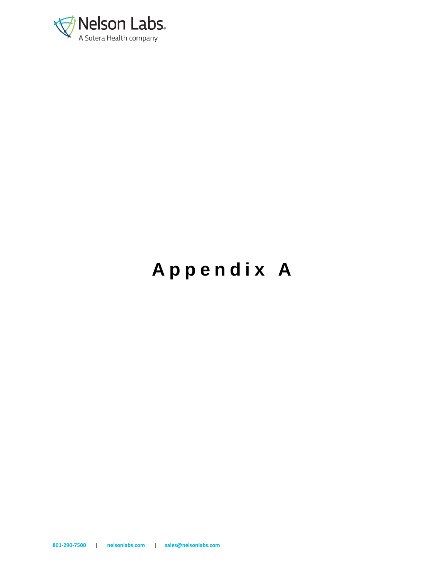

# **Appendix A**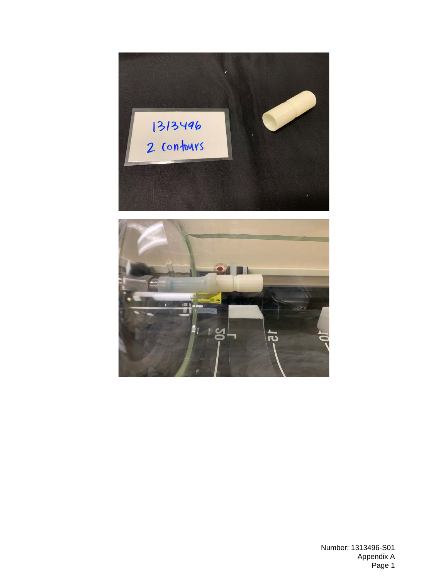